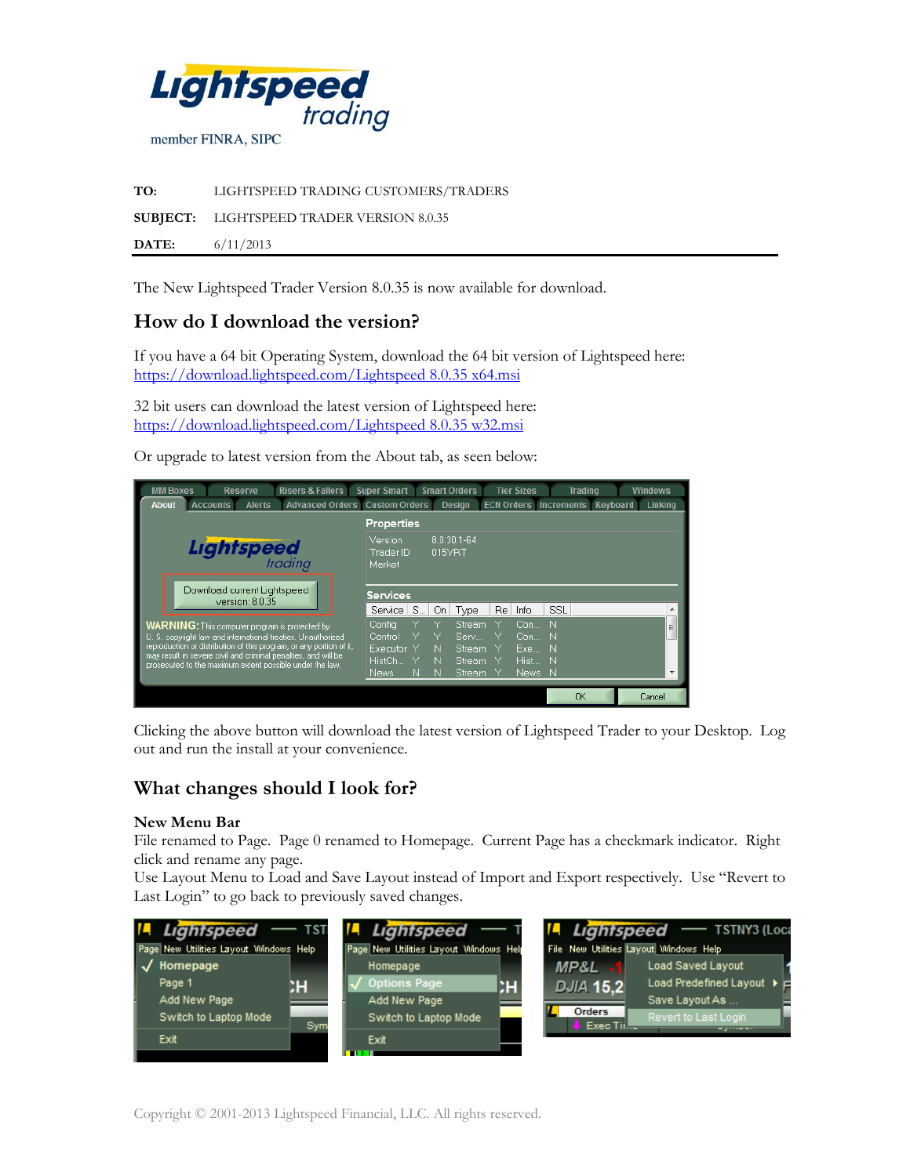

**TO:** LIGHTSPEED TRADING CUSTOMERS/TRADERS **SUBJECT:** LIGHTSPEED TRADER VERSION 8.0.35 **DATE:** 6/11/2013

The New Lightspeed Trader Version 8.0.35 is now available for download.

# **How do I download the version?**

If you have a 64 bit Operating System, download the 64 bit version of Lightspeed here: https://download.lightspeed.com/Lightspeed 8.0.35 x64.msi

32 bit users can download the latest version of Lightspeed here: https://download.lightspeed.com/Lightspeed 8.0.35 w32.msi

Or upgrade to latest version from the About tab, as seen below:



Clicking the above button will download the latest version of Lightspeed Trader to your Desktop. Log out and run the install at your convenience.

## **What changes should I look for?**

#### **New Menu Bar**

File renamed to Page. Page 0 renamed to Homepage. Current Page has a checkmark indicator. Right click and rename any page.

Use Layout Menu to Load and Save Layout instead of Import and Export respectively. Use "Revert to Last Login" to go back to previously saved changes.

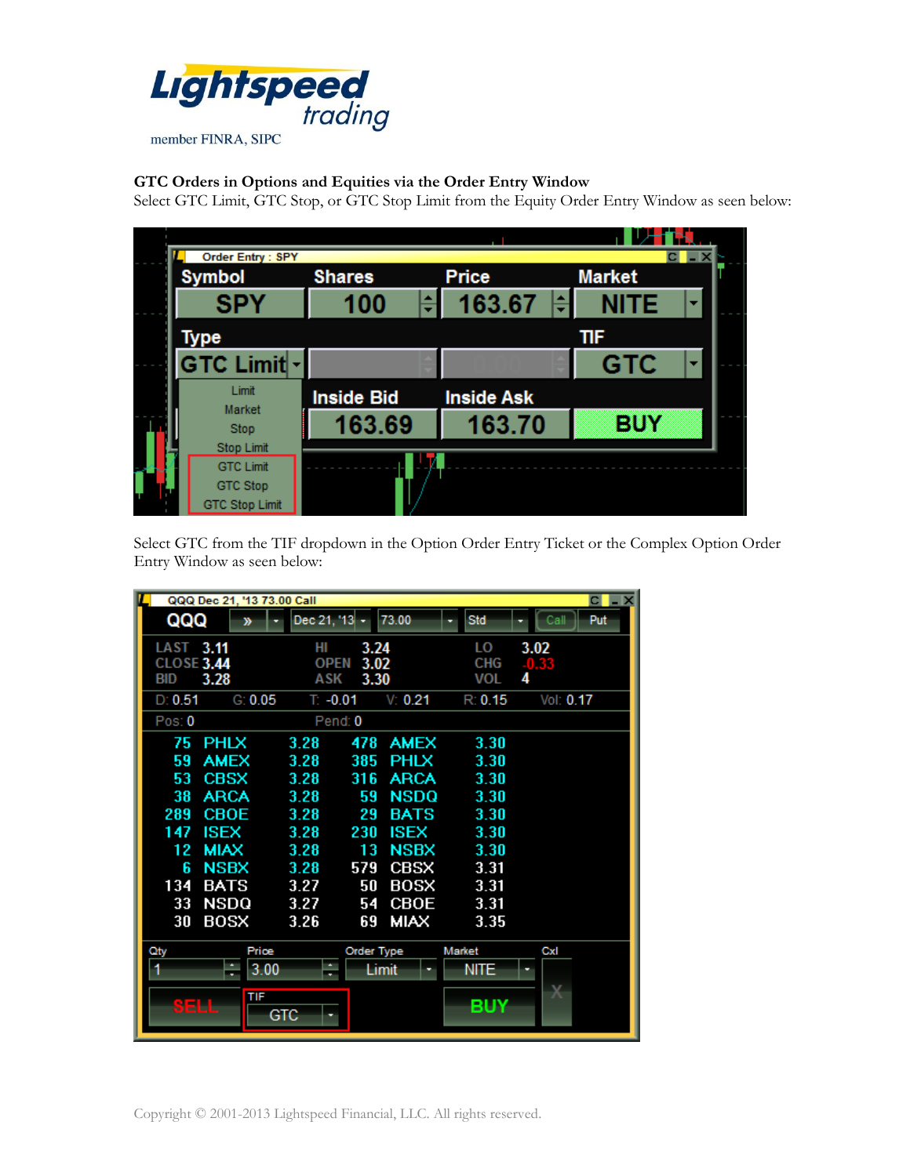

### **GTC Orders in Options and Equities via the Order Entry Window**

Select GTC Limit, GTC Stop, or GTC Stop Limit from the Equity Order Entry Window as seen below:



Select GTC from the TIF dropdown in the Option Order Entry Ticket or the Complex Option Order Entry Window as seen below:

|                                              | QQQ Dec 21, '13 73.00 Call |                                                  |                     |             |                                | $C \cup X$           |
|----------------------------------------------|----------------------------|--------------------------------------------------|---------------------|-------------|--------------------------------|----------------------|
| QQQ                                          | ≫                          | Dec 21, '13                                      |                     | 73.00       | Std                            | Put<br>Call          |
| LAST 3.11<br><b>CLOSE 3.44</b><br><b>BID</b> | 3.28                       | HI<br>3.24<br><b>OPEN</b><br>3.02<br>ASK<br>3.30 |                     |             | LO<br><b>CHG</b><br><b>VOL</b> | 3.02<br>$-0.33$<br>4 |
| D: 0.51                                      | G: 0.05                    | $T: -0.01$                                       |                     | V: 0.21     | R: 0.15                        | Vol: 0.17            |
| Pos: 0                                       |                            | Pend: 0                                          |                     |             |                                |                      |
| 75                                           | <b>PHLX</b>                | 3.28                                             | 478                 | <b>AMEX</b> | 3.30                           |                      |
| 59                                           | <b>AMEX</b>                | 3.28                                             | 385                 | <b>PHLX</b> | 3.30                           |                      |
| 53                                           | <b>CBSX</b>                | 3.28                                             | 316                 | <b>ARCA</b> | 3.30                           |                      |
| 38                                           | <b>ARCA</b>                | 3.28                                             | 59                  | <b>NSDQ</b> | 3.30                           |                      |
| 289                                          | CBOE                       | 3.28                                             | 29                  | <b>BATS</b> | 3.30                           |                      |
| 147                                          | ISEX                       | 3.28                                             | 230                 | <b>ISEX</b> | 3.30                           |                      |
| 12                                           | MIAX                       | 3.28                                             | 13                  | NSBX        | 3.30                           |                      |
| Б                                            | <b>NSBX</b>                | 3.28                                             | 579                 | <b>CBSX</b> | 3.31                           |                      |
| 134                                          | <b>BATS</b>                | 3.27                                             | 50                  | BOSX        | 3.31                           |                      |
| 33                                           | NSDQ                       | 3.27                                             | 54                  | CBOE        | 3.31                           |                      |
| 30                                           | BOSX                       | 3.26                                             | 69                  | <b>MIAX</b> | 3.35                           |                      |
| Qty                                          | Price<br>3.00<br>÷         | ÷                                                | Order Type<br>Limit |             | <b>Market</b><br>nite          | CxI                  |
| 8444                                         | TIF<br>GTC                 |                                                  |                     |             | BUY                            | Х                    |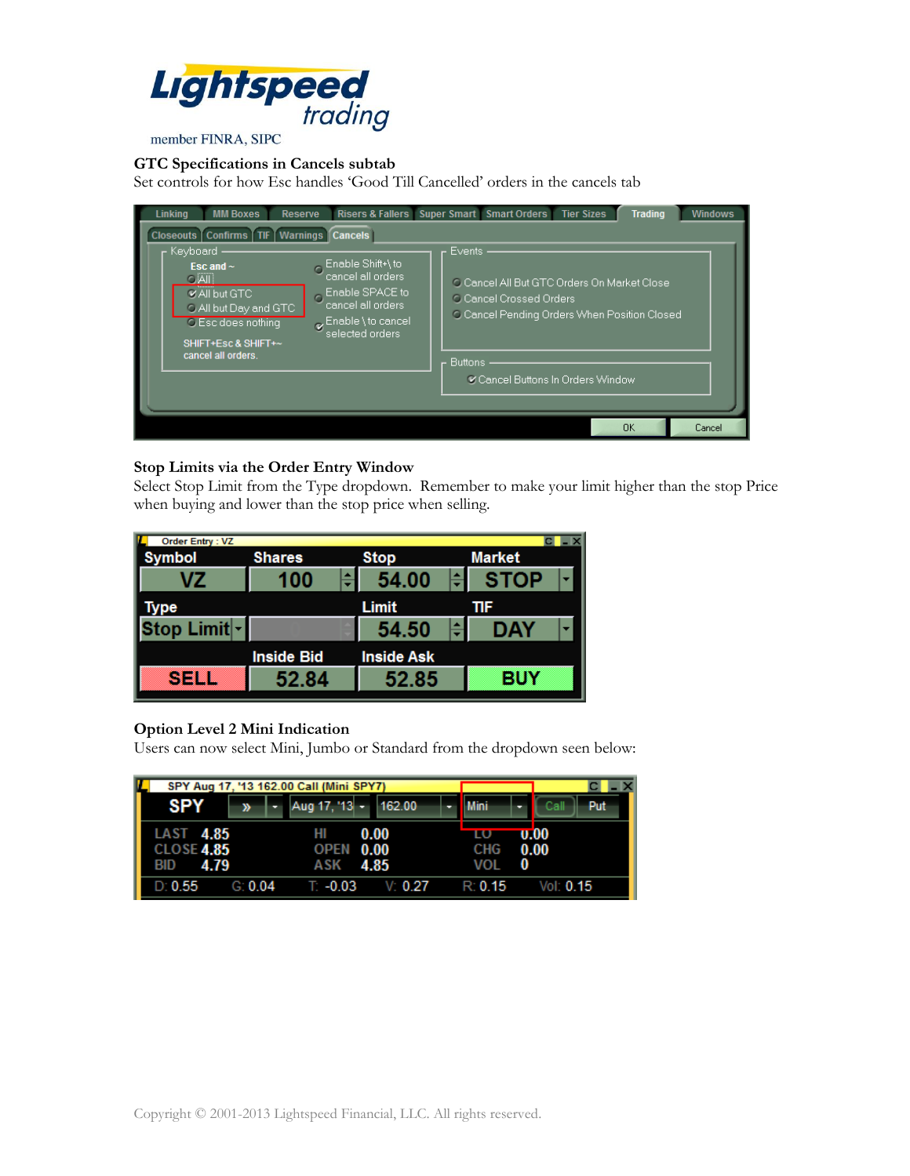

# member FINRA, SIPC

## **GTC Specifications in Cancels subtab**

Set controls for how Esc handles 'Good Till Cancelled' orders in the cancels tab

| Linking<br><b>MM Boxes</b><br>Reserve                                                                                                                                                                                                                                                                                                                 | Risers & Fallers Super Smart Smart Orders<br><b>Trading</b><br><b>Tier Sizes</b><br><b>Windows</b>                                                                                      |
|-------------------------------------------------------------------------------------------------------------------------------------------------------------------------------------------------------------------------------------------------------------------------------------------------------------------------------------------------------|-----------------------------------------------------------------------------------------------------------------------------------------------------------------------------------------|
| <b>Cancels   Confirms   TIF   Warnings   Cancels:</b><br>Keyboard<br>Enable Shift+\to<br>Esc and $\sim$<br>cancel all orders<br>$C$ $All$<br>Enable SPACE to<br><b>V All but GTC</b><br>cancel all orders<br>O All but Day and GTC<br>Enable \ to cancel<br><b>O</b> Esc does nothing<br>selected orders<br>SHIFT+Esc & SHIFT+~<br>cancel all orders. | Events:<br>O Cancel All But GTC Orders On Market Close<br><b>C. Cancel Crossed Orders</b><br>C Cancel Pending Orders When Position Closed<br>Buttons<br>Cancel Buttons In Orders Window |
|                                                                                                                                                                                                                                                                                                                                                       | <b>OK</b><br>Cancel                                                                                                                                                                     |

## **Stop Limits via the Order Entry Window**

Select Stop Limit from the Type dropdown. Remember to make your limit higher than the stop Price when buying and lower than the stop price when selling.

| Order Entry: VZ |                   |                   |                                         |  |  |
|-----------------|-------------------|-------------------|-----------------------------------------|--|--|
| ymbol           | <b>Shares</b>     | <b>Stop</b>       | <b>Market</b>                           |  |  |
| VZ              | 100               | 54.00             | <b>STOP</b><br>$\overline{\phantom{a}}$ |  |  |
| vpe             |                   | Limit             | ΠF                                      |  |  |
| }top Limit॑∽່   |                   | 54.50             | DAY                                     |  |  |
|                 | <b>Inside Bid</b> | <b>Inside Ask</b> |                                         |  |  |
| <u>SELL</u>     | 52.84             | 52.85             | <b>BUY</b>                              |  |  |

## **Option Level 2 Mini Indication**

Users can now select Mini, Jumbo or Standard from the dropdown seen below:

| SPY Aug 17, '13 162.00 Call (Mini SPY7)              |         |                             |         |  |                         |              |     |
|------------------------------------------------------|---------|-----------------------------|---------|--|-------------------------|--------------|-----|
| <b>SPY</b>                                           | ≫       | $\sim$ Aug 17, '13 - 162.00 |         |  | <b>Mini</b>             | Call         | Put |
| LAST 4.85<br><b>CLOSE 4.85</b><br>4.79<br><b>BID</b> |         | нı<br>OPEN 0.00<br>ASK 4.85 | 0.00    |  | ШΟ<br><b>CHG</b><br>VOL | 0.00<br>0.00 |     |
| D: 0.55                                              | G: 0.04 | T: -0.03                    | V: 0.27 |  | R: 0.15                 | Vol: $0.15$  |     |